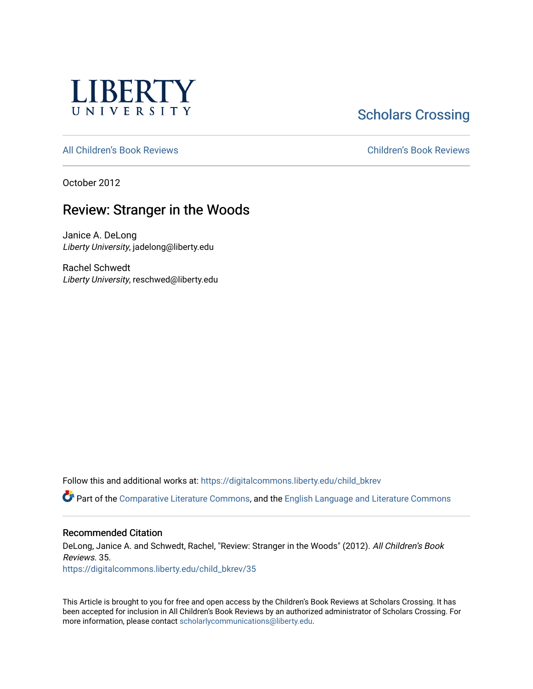

**Scholars Crossing** 

[All Children's Book Reviews](https://digitalcommons.liberty.edu/child_bkrev) [Children's Book Reviews](https://digitalcommons.liberty.edu/child_bookrev) 

October 2012

# Review: Stranger in the Woods

Janice A. DeLong Liberty University, jadelong@liberty.edu

Rachel Schwedt Liberty University, reschwed@liberty.edu

Follow this and additional works at: [https://digitalcommons.liberty.edu/child\\_bkrev](https://digitalcommons.liberty.edu/child_bkrev?utm_source=digitalcommons.liberty.edu%2Fchild_bkrev%2F35&utm_medium=PDF&utm_campaign=PDFCoverPages) 

Part of the [Comparative Literature Commons](http://network.bepress.com/hgg/discipline/454?utm_source=digitalcommons.liberty.edu%2Fchild_bkrev%2F35&utm_medium=PDF&utm_campaign=PDFCoverPages), and the [English Language and Literature Commons](http://network.bepress.com/hgg/discipline/455?utm_source=digitalcommons.liberty.edu%2Fchild_bkrev%2F35&utm_medium=PDF&utm_campaign=PDFCoverPages)

#### Recommended Citation

DeLong, Janice A. and Schwedt, Rachel, "Review: Stranger in the Woods" (2012). All Children's Book Reviews. 35.

[https://digitalcommons.liberty.edu/child\\_bkrev/35](https://digitalcommons.liberty.edu/child_bkrev/35?utm_source=digitalcommons.liberty.edu%2Fchild_bkrev%2F35&utm_medium=PDF&utm_campaign=PDFCoverPages)

This Article is brought to you for free and open access by the Children's Book Reviews at Scholars Crossing. It has been accepted for inclusion in All Children's Book Reviews by an authorized administrator of Scholars Crossing. For more information, please contact [scholarlycommunications@liberty.edu](mailto:scholarlycommunications@liberty.edu).